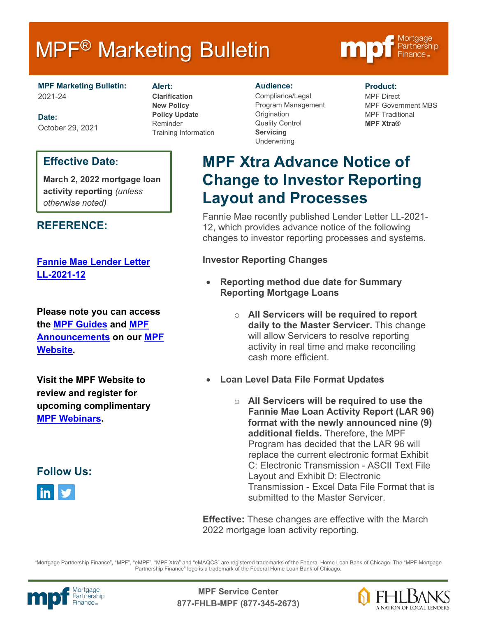# **MPF<sup>®</sup> Marketing Bulletin**



**MPF Marketing Bulletin:** 2021-24

**Date:** October 29, 2021

# **Effective Date:**

**March 2, 2022 mortgage loan activity reporting** *(unless otherwise noted)*

# **REFERENCE:**

## **[Fannie Mae Lender Letter](https://singlefamily.fanniemae.com/media/26096/display)  [LL-2021-12](https://singlefamily.fanniemae.com/media/26096/display)**

**Please note you can access the [MPF Guides](https://fhlbmpf.com/mpf-guides/guides) and [MPF](https://fhlbmpf.com/mpf-guides/announcements)  [Announcements](https://fhlbmpf.com/mpf-guides/announcements) on our [MPF](https://fhlbmpf.com/)  [Website.](https://fhlbmpf.com/)** 

**Visit the MPF Website to review and register for upcoming complimentary [MPF Webinars.](https://www.fhlbmpf.com/education/upcoming-webinars)**

**Follow Us:**



#### **Alert:**

**Clarification New Policy Policy Update** Reminder Training Information

#### **Audience:**

Compliance/Legal Program Management **Origination** Quality Control **Servicing Underwriting** 

#### **Product:**

MPF Direct MPF Government MBS MPF Traditional **MPF Xtra®**

# **MPF Xtra Advance Notice of Change to Investor Reporting Layout and Processes**

Fannie Mae recently published Lender Letter LL-2021- 12, which provides advance notice of the following changes to investor reporting processes and systems.

### **Investor Reporting Changes**

- **Reporting method due date for Summary Reporting Mortgage Loans**
	- o **All Servicers will be required to report daily to the Master Servicer.** This change will allow Servicers to resolve reporting activity in real time and make reconciling cash more efficient.
- **Loan Level Data File Format Updates**
	- o **All Servicers will be required to use the Fannie Mae Loan Activity Report (LAR 96) format with the newly announced nine (9) additional fields.** Therefore, the MPF Program has decided that the LAR 96 will replace the current electronic format Exhibit C: Electronic Transmission - ASCII Text File Layout and Exhibit D: Electronic Transmission - Excel Data File Format that is submitted to the Master Servicer.

**Effective:** These changes are effective with the March 2022 mortgage loan activity reporting.

"Mortgage Partnership Finance", "MPF", "eMPF", "MPF Xtra" and "eMAQCS" are registered trademarks of the Federal Home Loan Bank of Chicago. The "MPF Mortgage Partnership Finance" logo is a trademark of the Federal Home Loan Bank of Chicago.



Mortgage **Canadian Communism Communism MPF Service Center**<br>Partnership **877-FHLB-MPF (877-345-2673)**